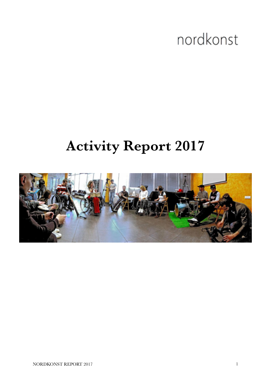# nordkonst

# **Activity Report 2017**

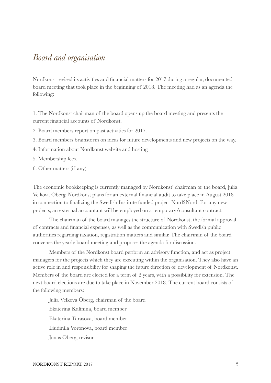#### *Board and organisation*

Nordkonst revised its activities and financial matters for 2017 during a regular, documented board meeting that took place in the beginning of 2018. The meeting had as an agenda the following:

1. The Nordkonst chairman of the board opens up the board meeting and presents the current financial accounts of Nordkonst.

- 2. Board members report on past activities for 2017.
- 3. Board members brainstorm on ideas for future developments and new projects on the way.
- 4. Information about Nordkonst website and hosting
- 5. Membership fees.
- 6. Other matters (if any)

The economic bookkeeping is currently managed by Nordkonst' chairman of the board, Julia Velkova Öberg. Nordkonst plans for an external financial audit to take place in August 2018 in connection to finalizing the Swedish Institute funded project Nord2Nord. For any new projects, an external accountant will be employed on a temporary/consultant contract.

The chairman of the board manages the structure of Nordkonst, the formal approval of contracts and financial expenses, as well as the communication with Swedish public authorities regarding taxation, registration matters and similar. The chairman of the board convenes the yearly board meeting and proposes the agenda for discussion.

Members of the Nordkonst board perform an advisory function, and act as project managers for the projects which they are executing within the organisation. They also have an active role in and responsibility for shaping the future direction of development of Nordkonst. Members of the board are elected for a term of 2 years, with a possibility for extension. The next board elections are due to take place in November 2018. The current board consists of the following members:

Julia Velkova Öberg, chairman of the board Ekaterina Kalinina, board member Ekaterina Tarasova, board member Liudmila Voronova, board member Jonas Öberg, revisor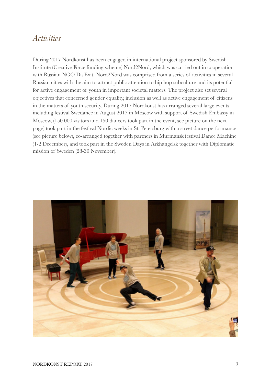### *Activities*

During 2017 Nordkonst has been engaged in international project sponsored by Swedish Institute (Creative Force funding scheme) Nord2Nord, which was carried out in cooperation with Russian NGO Da Exit. Nord2Nord was comprised from a series of activities in several Russian cities with the aim to attract public attention to hip hop subculture and its potential for active engagement of youth in important societal matters. The project also set several objectives that concerned gender equality, inclusion as well as active engagement of citizens in the matters of youth security. During 2017 Nordkonst has arranged several large events including festival Swedance in August 2017 in Moscow with support of Swedish Embassy in Moscow, (150 000 visitors and 150 dancers took part in the event, see picture on the next page) took part in the festival Nordic weeks in St. Petersburg with a street dance performance (see picture below), co-arranged together with partners in Murmansk festival Dance Machine (1-2 December), and took part in the Sweden Days in Arkhangelsk together with Diplomatic mission of Sweden (28-30 November).

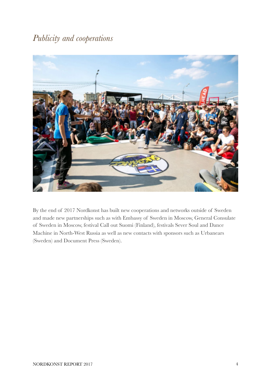### *Publicity and cooperations*



By the end of 2017 Nordkonst has built new cooperations and networks outside of Sweden and made new partnerships such as with Embassy of Sweden in Moscow, General Consulate of Sweden in Moscow, festival Call out Suomi (Finland), festivals Sever Soul and Dance Machine in North-West Russia as well as new contacts with sponsors such as Urbanears (Sweden) and Document Press (Sweden).